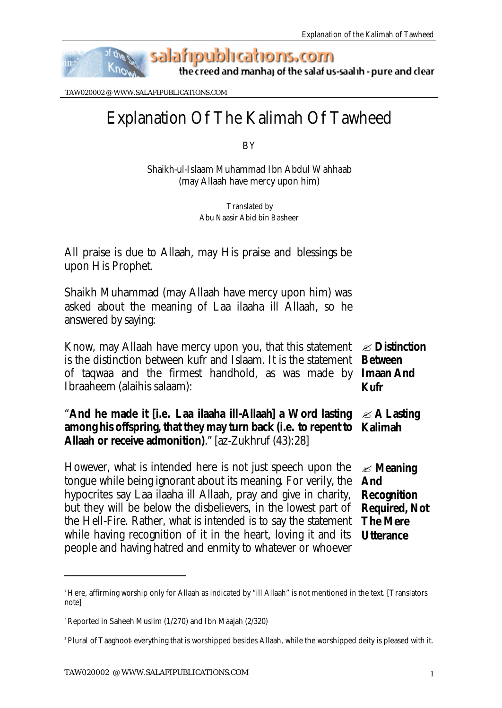

the creed and manhaj of the salaf us-saalih - pure and clear

TAW020002 @ WWW.SALAFIPUBLICATIONS.COM

## Explanation Of The Kalimah Of Tawheed

BY

Shaikh-ul-Islaam Muhammad Ibn Abdul Wahhaab (may Allaah have mercy upon him)

> Translated by Abu Naasir Abid bin Basheer

All praise is due to Allaah, may His praise and blessings be upon His Prophet.

Shaikh Muhammad (may Allaah have mercy upon him) was asked about the meaning of Laa ilaaha ill Allaah, so he answered by saying:

Know, may Allaah have mercy upon you, that this statement  $\ll$  **Distinction** is the distinction between kufr and Islaam. It is the statement **Between**  of taqwaa and the firmest handhold, as was made by **Imaan And**  Ibraaheem (alaihis salaam): **Kufr**

"**And he made it [i.e.** *Laa ilaaha ill-Allaah***] a Word lasting among his offspring, that they may turn back (i.e. to repent to Kalimah Allaah or receive admonition)**." [az-Zukhruf (43):28] ? **A Lasting** 

However, what is intended here is not just speech upon the tongue while being ignorant about its meaning. For verily, the hypocrites say Laa ilaaha ill Allaah, pray and give in charity, but they will be below the disbelievers, in the lowest part of the Hell-Fire. Rather, what is intended is to say the statement while having recognition of it in the heart, loving it and its people and having hatred and enmity to whatever or whoever ? **Meaning And Recognition Required, Not The Mere Utterance**

l

<sup>1</sup> Here, affirming worship only for Allaah as indicated by "ill Allaah" is not mentioned in the text. [Translators note]

<sup>2</sup> Reported in Saheeh Muslim (1/270) and Ibn Maajah (2/320)

<sup>3</sup> Plural of *Taaghoot*- everything that is worshipped besides Allaah, while the worshipped deity is pleased with it.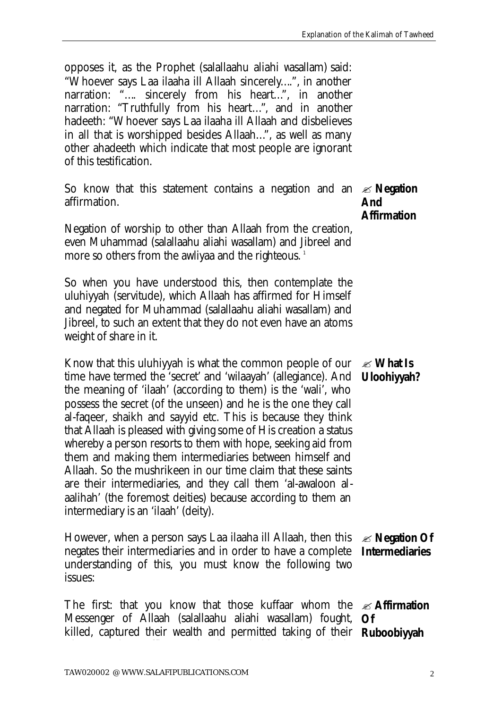opposes it, as the Prophet (salallaahu aliahi wasallam) said: *"Whoever says Laa ilaaha ill Allaah sincerely*…*."*, in another narration: *"*…. *sincerely from his heart*…*"*, in another narration: *"Truthfully from his heart*…*"*, and in another hadeeth: *"Whoever says Laa ilaaha ill Allaah and disbelieves in all that is worshipped besides Allaah*…*"*, as well as many other ahadeeth which indicate that most people are ignorant of this testification.

So know that this statement contains a negation and an ? **Negation**  affirmation. **And** 

Negation of worship to other than Allaah from the creation, even Muhammad (salallaahu aliahi wasallam) and Jibreel and more so others from the awliyaa and the righteous.<sup>1</sup>

So when you have understood this, then contemplate the *uluhiyyah* (servitude), which Allaah has affirmed for Himself and negated for Muhammad (salallaahu aliahi wasallam) and Jibreel, to such an extent that they do not even have an atoms weight of share in it.

Know that this *uluhiyyah* is what the common people of our time have termed the 'secret' and 'wilaayah' (allegiance). And the meaning of 'ilaah' (according to them) is the 'wali', who possess the secret (of the unseen) and he is the one they call al-faqeer, shaikh and sayyid etc. This is because they think that Allaah is pleased with giving some of His creation a status whereby a person resorts to them with hope, seeking aid from them and making them intermediaries between himself and Allaah. So the mushrikeen in our time claim that these saints are their intermediaries, and they call them 'al-awaloon alaalihah' (the foremost deities) because according to them an intermediary is an 'ilaah' (deity). ? **What Is Uloohiyyah?**

However, when a person says Laa ilaaha ill Allaah, then this negates their intermediaries and in order to have a complete understanding of this, you must know the following two issues: ? **Negation Of Intermediaries**

The first: that you know that those kuffaar whom the ? **Affirmation**  Messenger of Allaah (salallaahu aliahi wasallam) fought, **Of**  killed, captured their wealth and permitted taking of their **Ruboobiyyah** 

**Affirmation**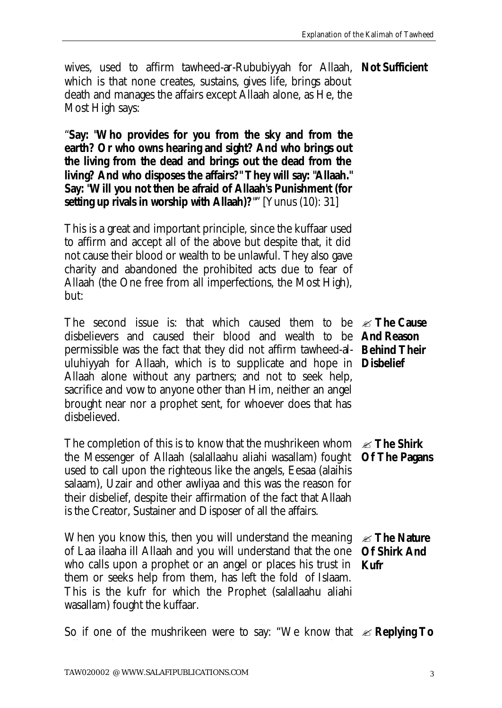wives, used to affirm tawheed-ar-Rububiyyah for Allaah, **Not Sufficient** which is that none creates, sustains, gives life, brings about death and manages the affairs except Allaah alone, as He, the Most High says:

"**Say: "Who provides for you from the sky and from the earth? Or who owns hearing and sight? And who brings out the living from the dead and brings out the dead from the living? And who disposes the affairs?" They will say: "Allaah." Say: "Will you not then be afraid of Allaah's Punishment (for setting up rivals in worship with Allaah)?**"" [Yunus (10): 31]

This is a great and important principle, since the kuffaar used to affirm and accept all of the above but despite that, it did not cause their blood or wealth to be unlawful. They also gave charity and abandoned the prohibited acts due to fear of Allaah (the One free from all imperfections, the Most High), but:

The second issue is: that which caused them to be ? **The Cause**  disbelievers and caused their blood and wealth to be **And Reason**  permissible was the fact that they did not affirm tawheed-al-**Behind Their**  uluhiyyah for Allaah, which is to supplicate and hope in **Disbelief** Allaah alone without any partners; and not to seek help, sacrifice and vow to anyone other than Him, neither an angel brought near nor a prophet sent, for whoever does that has disbelieved.

The completion of this is to know that the mushrikeen whom ? **The Shirk**  the Messenger of Allaah (salallaahu aliahi wasallam) fought used to call upon the righteous like the angels, Eesaa (alaihis salaam), Uzair and other awliyaa and this was the reason for their disbelief, despite their affirmation of the fact that Allaah is the Creator, Sustainer and Disposer of all the affairs.

When you know this, then you will understand the meaning  $\mathcal{L}$  **The Nature** of Laa ilaaha ill Allaah and you will understand that the one who calls upon a prophet or an angel or places his trust in them or seeks help from them, has left the fold of Islaam. This is the kufr for which the Prophet (salallaahu aliahi wasallam) fought the kuffaar. **Of Shirk And Kufr**

**Of The Pagans**

So if one of the mushrikeen were to say: "We know that  $\ll$  **Replying To**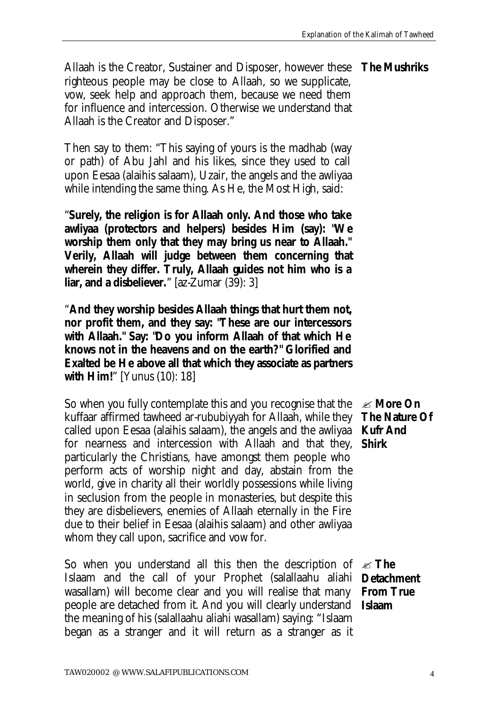Allaah is the Creator, Sustainer and Disposer, however these **The Mushriks** righteous people may be close to Allaah, so we supplicate, vow, seek help and approach them, because we need them for influence and intercession. Otherwise we understand that Allaah is the Creator and Disposer."

Then say to them: "This saying of yours is the madhab (way or path) of Abu Jahl and his likes, since they used to call upon Eesaa (alaihis salaam), Uzair, the angels and the awliyaa while intending the same thing. As He, the Most High, said:

"**Surely, the religion is for Allaah only. And those who take**  *awliyaa* **(protectors and helpers) besides Him (say): "We worship them only that they may bring us near to Allaah." Verily, Allaah will judge between them concerning that wherein they differ. Truly, Allaah guides not him who is a liar, and a disbeliever.**" [az-Zumar (39): 3]

"**And they worship besides Allaah things that hurt them not, nor profit them, and they say: "These are our intercessors with Allaah." Say: "Do you inform Allaah of that which He knows not in the heavens and on the earth?" Glorified and Exalted be He above all that which they associate as partners with Him!**" [Yunus (10): 18]

So when you fully contemplate this and you recognise that the kuffaar affirmed tawheed ar-rububiyyah for Allaah, while they called upon Eesaa (alaihis salaam), the angels and the awliyaa **Kufr And**  for nearness and intercession with Allaah and that they, particularly the Christians, have amongst them people who perform acts of worship night and day, abstain from the world, give in charity all their worldly possessions while living in seclusion from the people in monasteries, but despite this they are disbelievers, enemies of Allaah eternally in the Fire due to their belief in Eesaa (alaihis salaam) and other awliyaa whom they call upon, sacrifice and vow for.

So when you understand all this then the description of  $\mathcal{Z}$  **The** Islaam and the call of your Prophet (salallaahu aliahi **Detachment**  wasallam) will become clear and you will realise that many **From True**  people are detached from it. And you will clearly understand **Islaam**the meaning of his (salallaahu aliahi wasallam) saying: "*Islaam began as a stranger and it will return as a stranger as it*

? **More On The Nature Of Shirk**

TAW020002 @ WWW.SALAFIPUBLICATIONS.COM 4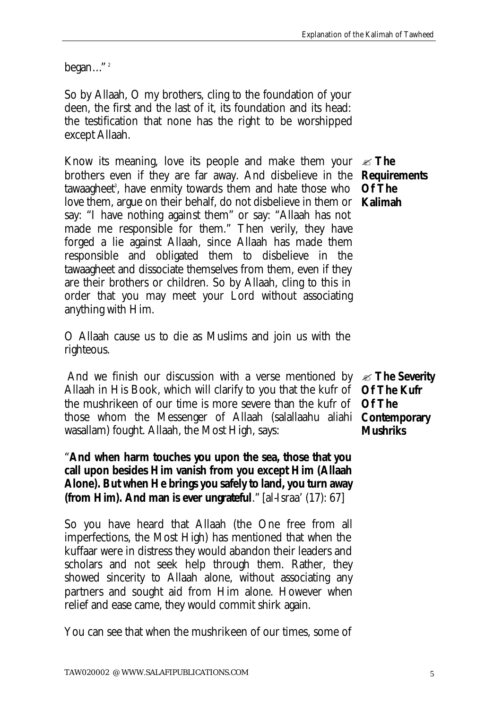*began*…" <sup>2</sup>

So by Allaah, O my brothers, cling to the foundation of your deen, the first and the last of it, its foundation and its head: the testification that none has the right to be worshipped except Allaah.

Know its meaning, love its people and make them your  $\ll$  **The** brothers even if they are far away. And disbelieve in the **Requirements**  tawaagheet<sup>3</sup>, have enmity towards them and hate those who love them, argue on their behalf, do not disbelieve in them or **Kalimah** say: "I have nothing against them" or say: "Allaah has not made me responsible for them." Then verily, they have forged a lie against Allaah, since Allaah has made them responsible and obligated them to disbelieve in the tawaagheet and dissociate themselves from them, even if they are their brothers or children. So by Allaah, cling to this in order that you may meet your Lord without associating anything with Him.

O Allaah cause us to die as Muslims and join us with the righteous.

And we finish our discussion with a verse mentioned by  $\mathcal{L}$  **The Severity** Allaah in His Book, which will clarify to you that the kufr of the mushrikeen of our time is more severe than the kufr of those whom the Messenger of Allaah (salallaahu aliahi **Contemporary**  wasallam) fought. Allaah, the Most High, says:

"**And when harm touches you upon the sea, those that you call upon besides Him vanish from you except Him (Allaah Alone). But when He brings you safely to land, you turn away (from Him). And man is ever ungrateful**." [al-Israa' (17): 67]

So you have heard that Allaah (the One free from all imperfections, the Most High) has mentioned that when the kuffaar were in distress they would abandon their leaders and scholars and not seek help through them. Rather, they showed sincerity to Allaah alone, without associating any partners and sought aid from Him alone. However when relief and ease came, they would commit shirk again.

You can see that when the mushrikeen of our times, some of

**Of The** 

**Of The Kufr Of The Mushriks**